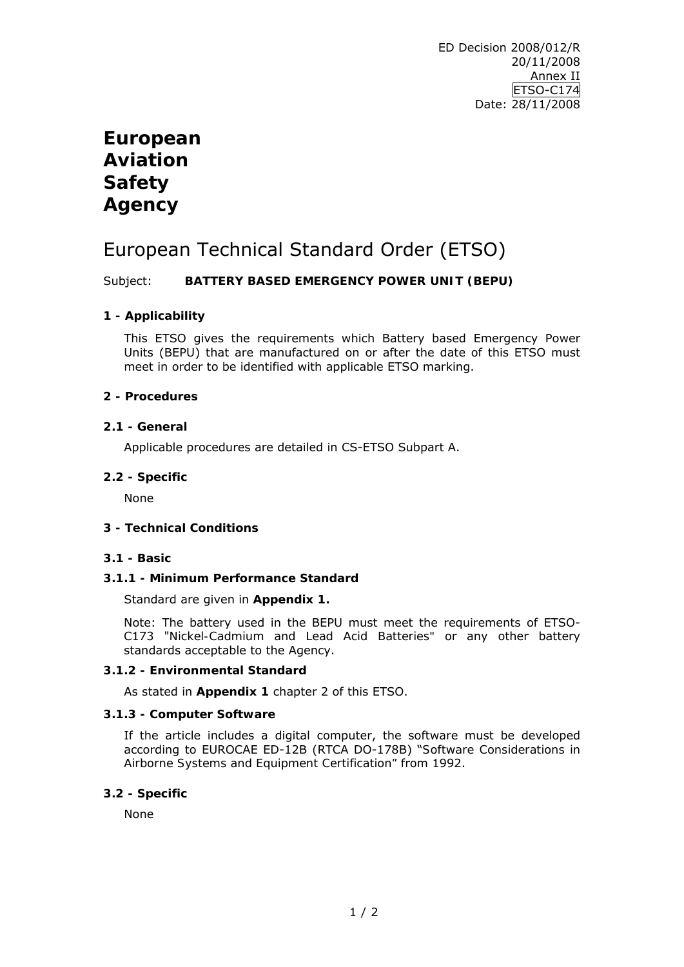# **European Aviation Safety Agency**

# European Technical Standard Order (ETSO)

## Subject: **BATTERY BASED EMERGENCY POWER UNIT (BEPU)**

# **1 - Applicability**

This ETSO gives the requirements which Battery based Emergency Power Units (BEPU) that are manufactured on or after the date of this ETSO must meet in order to be identified with applicable ETSO marking.

## **2 - Procedures**

## **2.1 - General**

Applicable procedures are detailed in CS-ETSO Subpart A.

## **2.2 - Specific**

None

## **3 - Technical Conditions**

## **3.1 - Basic**

## **3.1.1 - Minimum Performance Standard**

Standard are given in **Appendix 1.** 

Note: The battery used in the BEPU must meet the requirements of ETSO-C173 "*Nickel-Cadmium and Lead Acid Batteries"* or any other battery standards acceptable to the Agency.

## **3.1.2 - Environmental Standard**

As stated in **Appendix 1** chapter 2 of this ETSO.

## **3.1.3 - Computer Software**

If the article includes a digital computer, the software must be developed according to EUROCAE ED-12B (RTCA DO-178B) "*Software Considerations in Airborne Systems and Equipment Certification"* from 1992.

## **3.2 - Specific**

None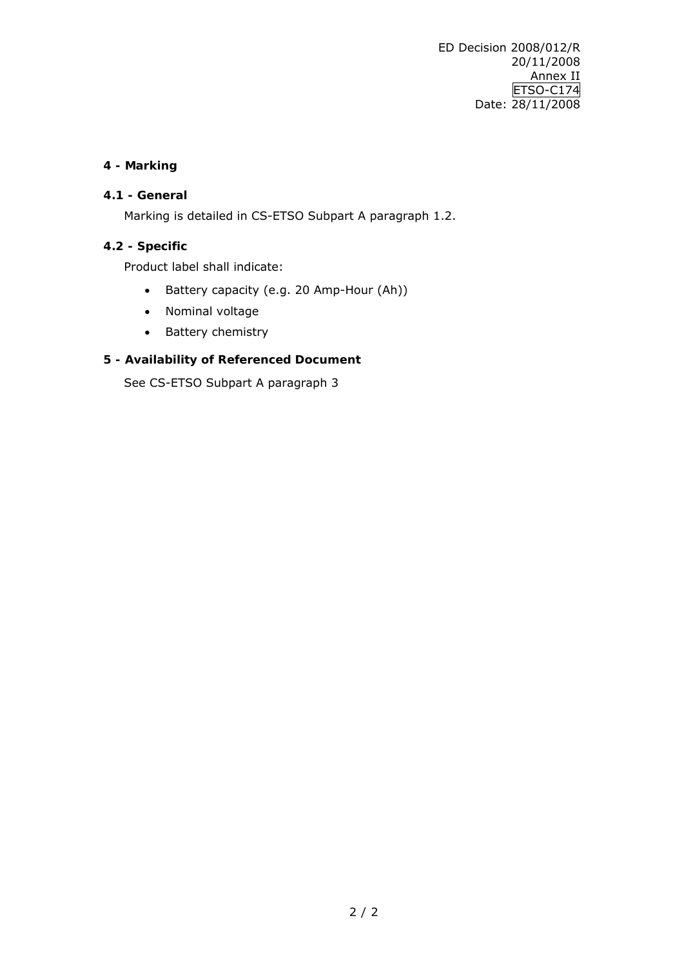ED Decision 2008/012/R 20/11/2008 Annex II ETSO-C174 Date: 28/11/2008

## **4 - Marking**

# **4.1 - General**

Marking is detailed in CS-ETSO Subpart A paragraph 1.2.

# **4.2 - Specific**

Product label shall indicate:

- Battery capacity (e.g. 20 Amp-Hour (Ah))
- Nominal voltage
- Battery chemistry

## **5 - Availability of Referenced Document**

See CS-ETSO Subpart A paragraph 3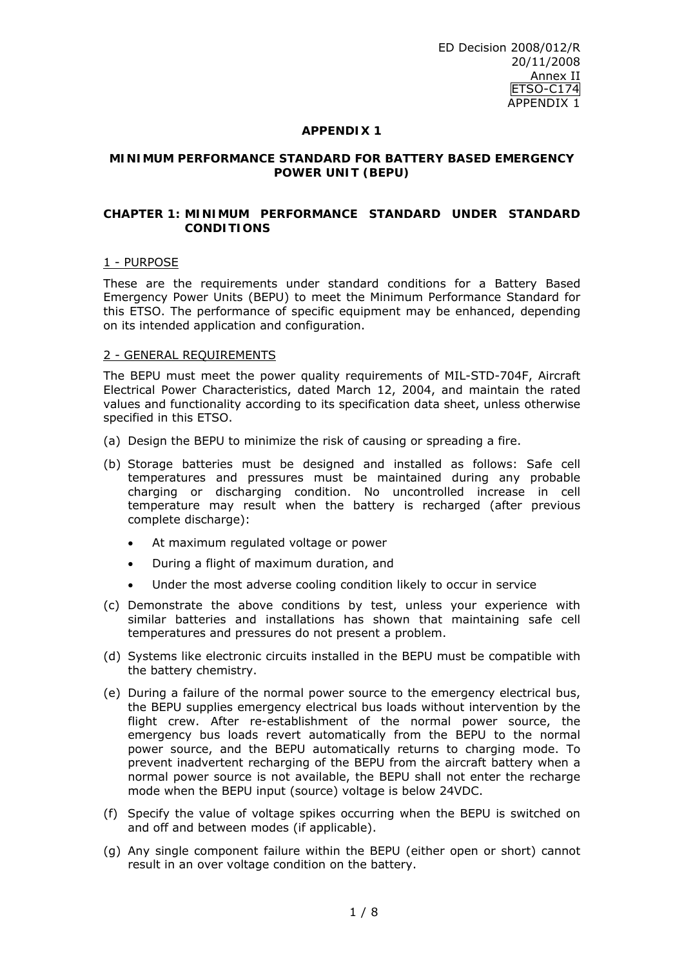#### **APPENDIX 1**

#### **MINIMUM PERFORMANCE STANDARD FOR BATTERY BASED EMERGENCY POWER UNIT (BEPU)**

#### **CHAPTER 1: MINIMUM PERFORMANCE STANDARD UNDER STANDARD CONDITIONS**

#### 1 - PURPOSE

These are the requirements under standard conditions for a Battery Based Emergency Power Units (BEPU) to meet the Minimum Performance Standard for this ETSO. The performance of specific equipment may be enhanced, depending on its intended application and configuration.

#### 2 - GENERAL REQUIREMENTS

The BEPU must meet the power quality requirements of MIL-STD-704F, Aircraft Electrical Power Characteristics, dated March 12, 2004, and maintain the rated values and functionality according to its specification data sheet, unless otherwise specified in this ETSO.

- (a) Design the BEPU to minimize the risk of causing or spreading a fire.
- (b) Storage batteries must be designed and installed as follows: Safe cell temperatures and pressures must be maintained during any probable charging or discharging condition. No uncontrolled increase in cell temperature may result when the battery is recharged (after previous complete discharge):
	- At maximum regulated voltage or power
	- During a flight of maximum duration, and
	- Under the most adverse cooling condition likely to occur in service
- (c) Demonstrate the above conditions by test, unless your experience with similar batteries and installations has shown that maintaining safe cell temperatures and pressures do not present a problem.
- (d) Systems like electronic circuits installed in the BEPU must be compatible with the battery chemistry.
- (e) During a failure of the normal power source to the emergency electrical bus, the BEPU supplies emergency electrical bus loads without intervention by the flight crew. After re-establishment of the normal power source, the emergency bus loads revert automatically from the BEPU to the normal power source, and the BEPU automatically returns to charging mode. To prevent inadvertent recharging of the BEPU from the aircraft battery when a normal power source is not available, the BEPU shall not enter the recharge mode when the BEPU input (source) voltage is below 24VDC.
- (f) Specify the value of voltage spikes occurring when the BEPU is switched on and off and between modes (if applicable).
- (g) Any single component failure within the BEPU (either open or short) cannot result in an over voltage condition on the battery.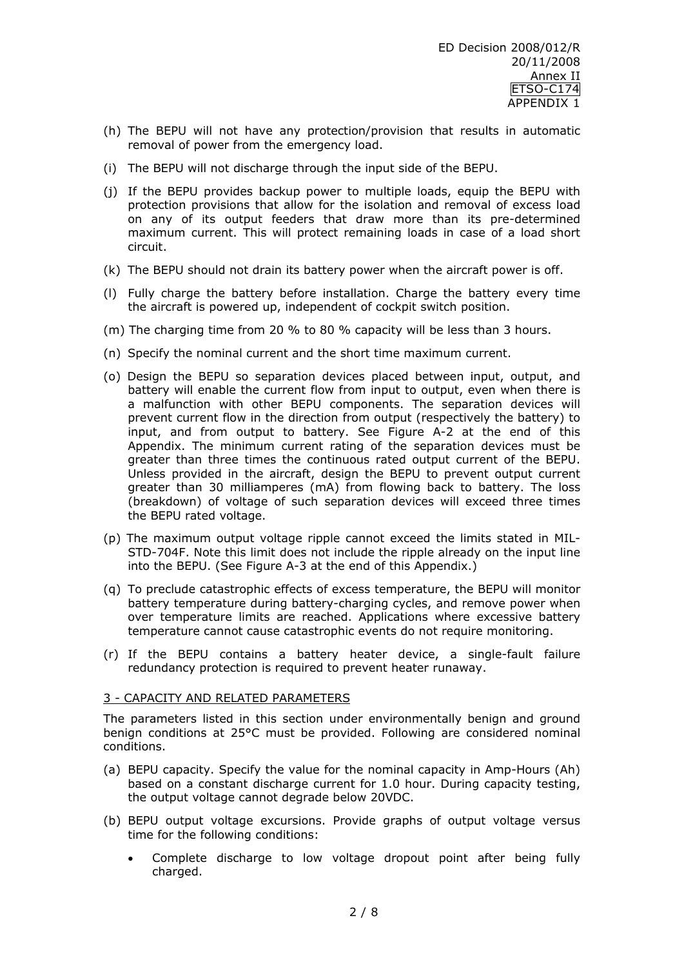- (h) The BEPU will not have any protection/provision that results in automatic removal of power from the emergency load.
- (i) The BEPU will not discharge through the input side of the BEPU.
- (j) If the BEPU provides backup power to multiple loads, equip the BEPU with protection provisions that allow for the isolation and removal of excess load on any of its output feeders that draw more than its pre-determined maximum current. This will protect remaining loads in case of a load short circuit.
- (k) The BEPU should not drain its battery power when the aircraft power is off.
- (l) Fully charge the battery before installation. Charge the battery every time the aircraft is powered up, independent of cockpit switch position.
- (m) The charging time from 20 % to 80 % capacity will be less than 3 hours.
- (n) Specify the nominal current and the short time maximum current.
- (o) Design the BEPU so separation devices placed between input, output, and battery will enable the current flow from input to output, even when there is a malfunction with other BEPU components. The separation devices will prevent current flow in the direction from output (respectively the battery) to input, and from output to battery. See Figure A-2 at the end of this Appendix. The minimum current rating of the separation devices must be greater than three times the continuous rated output current of the BEPU. Unless provided in the aircraft, design the BEPU to prevent output current greater than 30 milliamperes (mA) from flowing back to battery. The loss (breakdown) of voltage of such separation devices will exceed three times the BEPU rated voltage.
- (p) The maximum output voltage ripple cannot exceed the limits stated in MIL-STD-704F. Note this limit does not include the ripple already on the input line into the BEPU. (See Figure A-3 at the end of this Appendix.)
- (q) To preclude catastrophic effects of excess temperature, the BEPU will monitor battery temperature during battery-charging cycles, and remove power when over temperature limits are reached. Applications where excessive battery temperature cannot cause catastrophic events do not require monitoring.
- (r) If the BEPU contains a battery heater device, a single-fault failure redundancy protection is required to prevent heater runaway.

#### 3 - CAPACITY AND RELATED PARAMETERS

The parameters listed in this section under environmentally benign and ground benign conditions at 25°C must be provided. Following are considered nominal conditions.

- (a) BEPU capacity. Specify the value for the nominal capacity in Amp-Hours (Ah) based on a constant discharge current for 1.0 hour. During capacity testing, the output voltage cannot degrade below 20VDC.
- (b) BEPU output voltage excursions. Provide graphs of output voltage versus time for the following conditions:
	- Complete discharge to low voltage dropout point after being fully charged.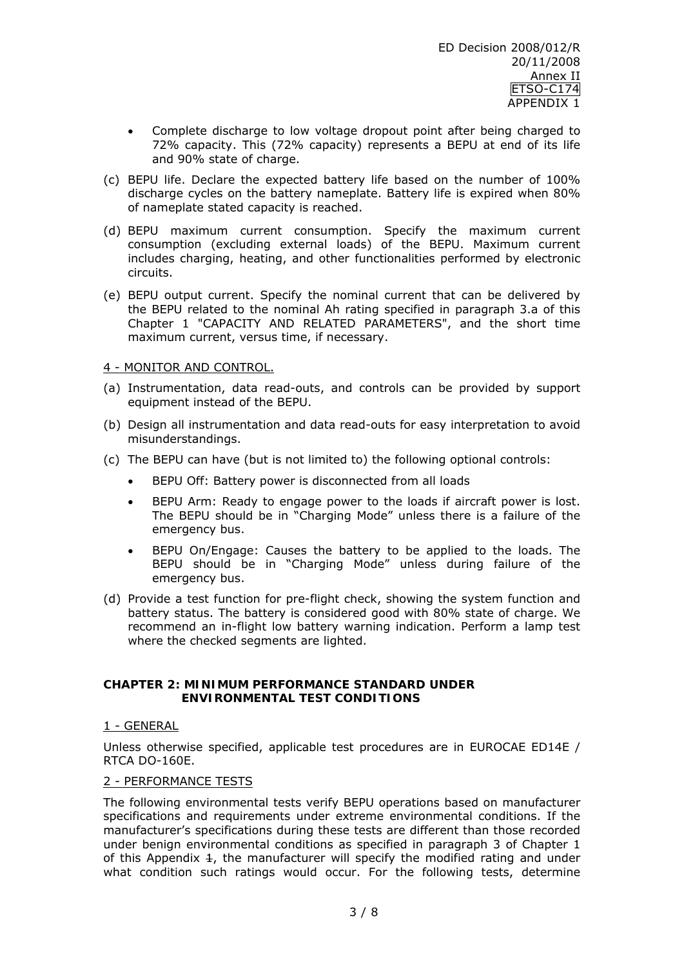- Complete discharge to low voltage dropout point after being charged to 72% capacity. This (72% capacity) represents a BEPU at end of its life and 90% state of charge.
- (c) BEPU life. Declare the expected battery life based on the number of 100% discharge cycles on the battery nameplate. Battery life is expired when 80% of nameplate stated capacity is reached.
- (d) BEPU maximum current consumption. Specify the maximum current consumption (excluding external loads) of the BEPU. Maximum current includes charging, heating, and other functionalities performed by electronic circuits.
- (e) BEPU output current. Specify the nominal current that can be delivered by the BEPU related to the nominal Ah rating specified in paragraph 3.a of this Chapter 1 "CAPACITY AND RELATED PARAMETERS", and the short time maximum current, versus time, if necessary.

### 4 - MONITOR AND CONTROL.

- (a) Instrumentation, data read-outs, and controls can be provided by support equipment instead of the BEPU.
- (b) Design all instrumentation and data read-outs for easy interpretation to avoid misunderstandings.
- (c) The BEPU can have (but is not limited to) the following optional controls:
	- BEPU Off: Battery power is disconnected from all loads
	- BEPU Arm: Ready to engage power to the loads if aircraft power is lost. The BEPU should be in "Charging Mode" unless there is a failure of the emergency bus.
	- BEPU On/Engage: Causes the battery to be applied to the loads. The BEPU should be in "Charging Mode" unless during failure of the emergency bus.
- (d) Provide a test function for pre-flight check, showing the system function and battery status. The battery is considered good with 80% state of charge. We recommend an in-flight low battery warning indication. Perform a lamp test where the checked segments are lighted.

#### **CHAPTER 2: MINIMUM PERFORMANCE STANDARD UNDER ENVIRONMENTAL TEST CONDITIONS**

#### 1 - GENERAL

Unless otherwise specified, applicable test procedures are in EUROCAE ED14E / RTCA DO-160E.

#### 2 - PERFORMANCE TESTS

The following environmental tests verify BEPU operations based on manufacturer specifications and requirements under extreme environmental conditions. If the manufacturer's specifications during these tests are different than those recorded under benign environmental conditions as specified in paragraph 3 of Chapter 1 of this Appendix  $\pm$ , the manufacturer will specify the modified rating and under what condition such ratings would occur. For the following tests, determine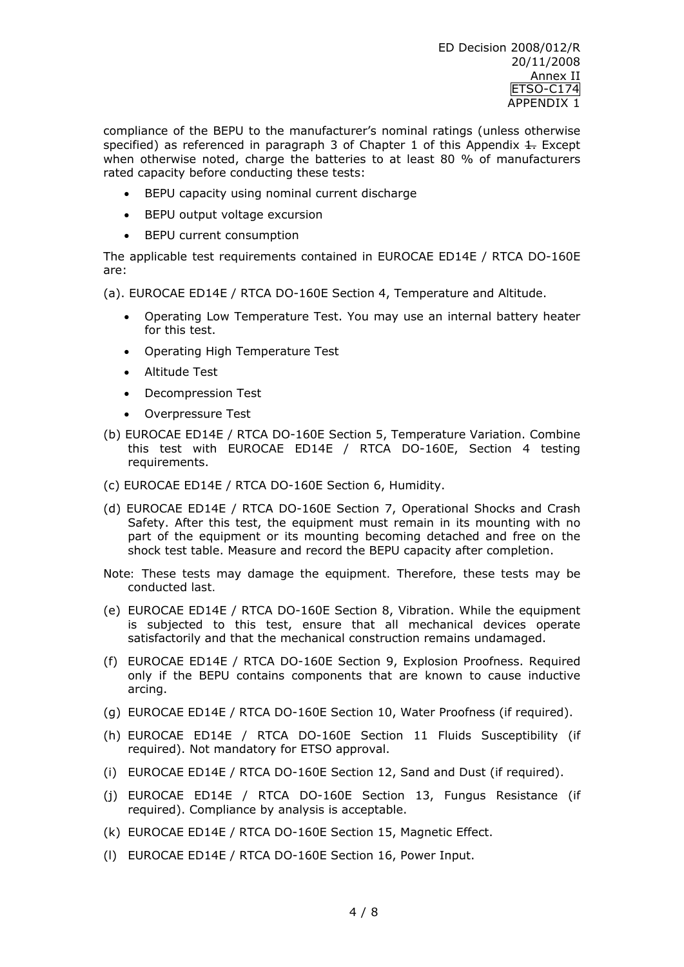compliance of the BEPU to the manufacturer's nominal ratings (unless otherwise specified) as referenced in paragraph 3 of Chapter 1 of this Appendix  $\pm$ . Except when otherwise noted, charge the batteries to at least 80 % of manufacturers rated capacity before conducting these tests:

- BEPU capacity using nominal current discharge
- BEPU output voltage excursion
- BEPU current consumption

The applicable test requirements contained in EUROCAE ED14E / RTCA DO-160E are:

(a). EUROCAE ED14E / RTCA DO-160E Section 4, Temperature and Altitude.

- Operating Low Temperature Test. You may use an internal battery heater for this test.
- Operating High Temperature Test
- Altitude Test
- Decompression Test
- Overpressure Test
- (b) EUROCAE ED14E / RTCA DO-160E Section 5, Temperature Variation. Combine this test with EUROCAE ED14E / RTCA DO-160E, Section 4 testing requirements.
- (c) EUROCAE ED14E / RTCA DO-160E Section 6, Humidity.
- (d) EUROCAE ED14E / RTCA DO-160E Section 7, Operational Shocks and Crash Safety. After this test, the equipment must remain in its mounting with no part of the equipment or its mounting becoming detached and free on the shock test table. Measure and record the BEPU capacity after completion.
- *Note: These tests may damage the equipment. Therefore, these tests may be conducted last.*
- (e) EUROCAE ED14E / RTCA DO-160E Section 8, Vibration. While the equipment is subjected to this test, ensure that all mechanical devices operate satisfactorily and that the mechanical construction remains undamaged.
- (f) EUROCAE ED14E / RTCA DO-160E Section 9, Explosion Proofness. Required only if the BEPU contains components that are known to cause inductive arcing.
- (g) EUROCAE ED14E / RTCA DO-160E Section 10, Water Proofness (if required).
- (h) EUROCAE ED14E / RTCA DO-160E Section 11 Fluids Susceptibility (if required). Not mandatory for ETSO approval.
- (i) EUROCAE ED14E / RTCA DO-160E Section 12, Sand and Dust (if required).
- (j) EUROCAE ED14E / RTCA DO-160E Section 13, Fungus Resistance (if required). Compliance by analysis is acceptable.
- (k) EUROCAE ED14E / RTCA DO-160E Section 15, Magnetic Effect.
- (l) EUROCAE ED14E / RTCA DO-160E Section 16, Power Input.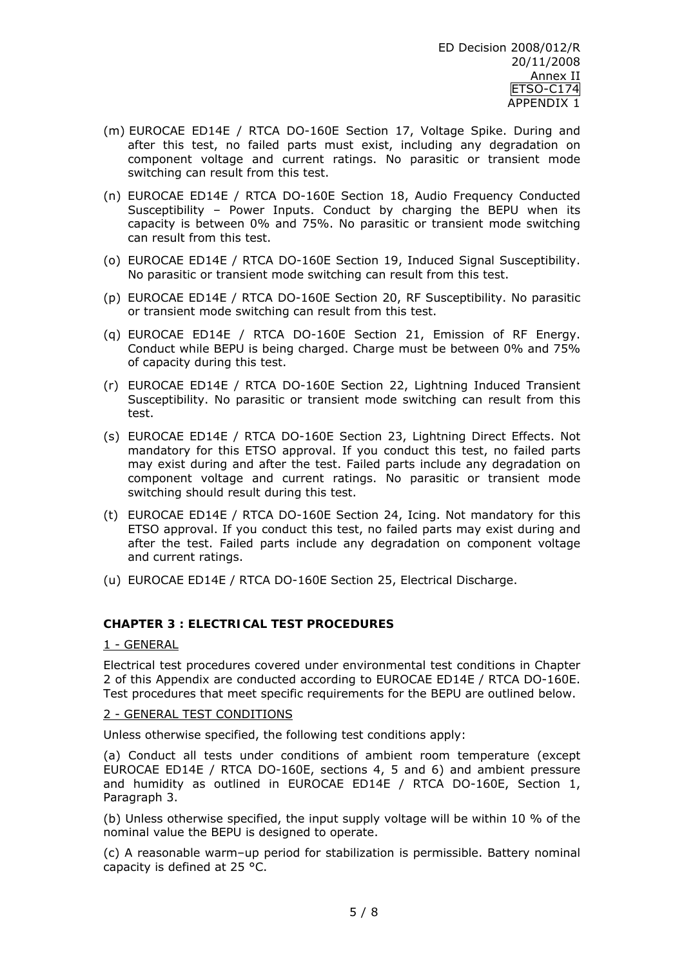- (m) EUROCAE ED14E / RTCA DO-160E Section 17, Voltage Spike. During and after this test, no failed parts must exist, including any degradation on component voltage and current ratings. No parasitic or transient mode switching can result from this test.
- (n) EUROCAE ED14E / RTCA DO-160E Section 18, Audio Frequency Conducted Susceptibility – Power Inputs. Conduct by charging the BEPU when its capacity is between 0% and 75%. No parasitic or transient mode switching can result from this test.
- (o) EUROCAE ED14E / RTCA DO-160E Section 19, Induced Signal Susceptibility. No parasitic or transient mode switching can result from this test.
- (p) EUROCAE ED14E / RTCA DO-160E Section 20, RF Susceptibility. No parasitic or transient mode switching can result from this test.
- (q) EUROCAE ED14E / RTCA DO-160E Section 21, Emission of RF Energy. Conduct while BEPU is being charged. Charge must be between 0% and 75% of capacity during this test.
- (r) EUROCAE ED14E / RTCA DO-160E Section 22, Lightning Induced Transient Susceptibility. No parasitic or transient mode switching can result from this test.
- (s) EUROCAE ED14E / RTCA DO-160E Section 23, Lightning Direct Effects. Not mandatory for this ETSO approval. If you conduct this test, no failed parts may exist during and after the test. Failed parts include any degradation on component voltage and current ratings. No parasitic or transient mode switching should result during this test.
- (t) EUROCAE ED14E / RTCA DO-160E Section 24, Icing. Not mandatory for this ETSO approval. If you conduct this test, no failed parts may exist during and after the test. Failed parts include any degradation on component voltage and current ratings.
- (u) EUROCAE ED14E / RTCA DO-160E Section 25, Electrical Discharge.

## **CHAPTER 3 : ELECTRICAL TEST PROCEDURES**

#### 1 - GENERAL

Electrical test procedures covered under environmental test conditions in Chapter 2 of this Appendix are conducted according to EUROCAE ED14E / RTCA DO-160E. Test procedures that meet specific requirements for the BEPU are outlined below.

#### 2 - GENERAL TEST CONDITIONS

Unless otherwise specified, the following test conditions apply:

(a) Conduct all tests under conditions of ambient room temperature (except EUROCAE ED14E / RTCA DO-160E, sections 4, 5 and 6) and ambient pressure and humidity as outlined in EUROCAE ED14E / RTCA DO-160E, Section 1, Paragraph 3.

(b) Unless otherwise specified, the input supply voltage will be within 10 % of the nominal value the BEPU is designed to operate.

(c) A reasonable warm–up period for stabilization is permissible. Battery nominal capacity is defined at 25 °C.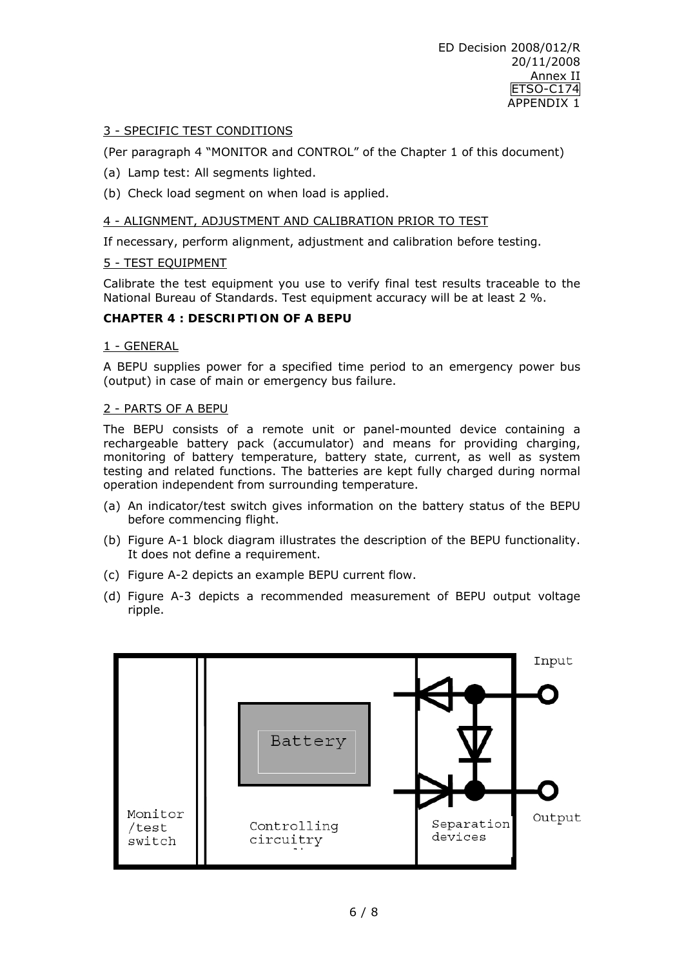### 3 - SPECIFIC TEST CONDITIONS

(Per paragraph 4 "MONITOR and CONTROL" of the Chapter 1 of this document)

- (a) Lamp test: All segments lighted.
- (b) Check load segment on when load is applied.

#### 4 - ALIGNMENT, ADJUSTMENT AND CALIBRATION PRIOR TO TEST

If necessary, perform alignment, adjustment and calibration before testing.

#### 5 - TEST EQUIPMENT

Calibrate the test equipment you use to verify final test results traceable to the National Bureau of Standards. Test equipment accuracy will be at least 2 %.

#### **CHAPTER 4 : DESCRIPTION OF A BEPU**

#### 1 - GENERAL

A BEPU supplies power for a specified time period to an emergency power bus (output) in case of main or emergency bus failure.

#### 2 - PARTS OF A BEPU

The BEPU consists of a remote unit or panel-mounted device containing a rechargeable battery pack (accumulator) and means for providing charging, monitoring of battery temperature, battery state, current, as well as system testing and related functions. The batteries are kept fully charged during normal operation independent from surrounding temperature.

- (a) An indicator/test switch gives information on the battery status of the BEPU before commencing flight.
- (b) Figure A-1 block diagram illustrates the description of the BEPU functionality. It does not define a requirement.
- (c) Figure A-2 depicts an example BEPU current flow.
- (d) Figure A-3 depicts a recommended measurement of BEPU output voltage ripple.

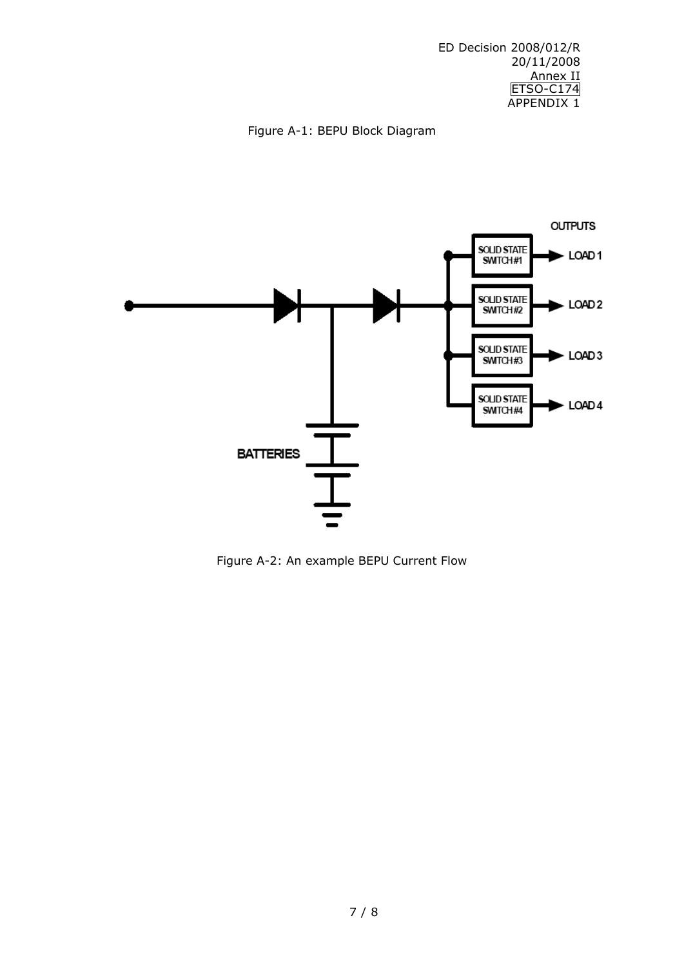ED Decision 2008/012/R 20/11/2008 Annex II **ETSO-C174** APPENDIX 1

## Figure A-1: BEPU Block Diagram



Figure A-2: An example BEPU Current Flow